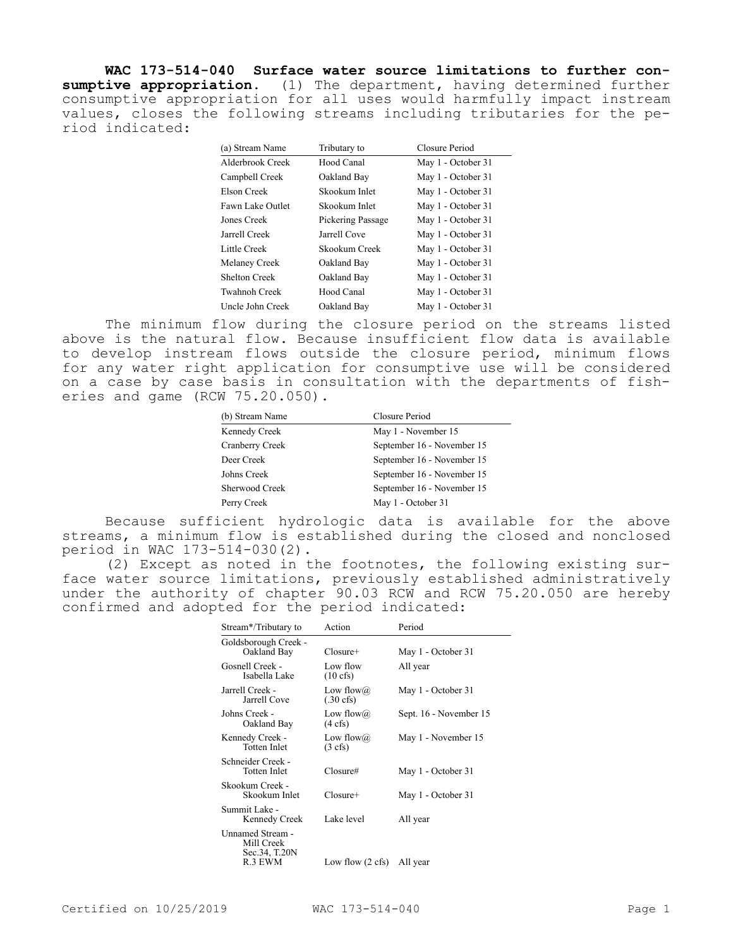**WAC 173-514-040 Surface water source limitations to further consumptive appropriation.** (1) The department, having determined further consumptive appropriation for all uses would harmfully impact instream values, closes the following streams including tributaries for the period indicated:

| Tributary to      | Closure Period     |
|-------------------|--------------------|
| Hood Canal        | May 1 - October 31 |
| Oakland Bay       | May 1 - October 31 |
| Skookum Inlet     | May 1 - October 31 |
| Skookum Inlet     | May 1 - October 31 |
| Pickering Passage | May 1 - October 31 |
| Jarrell Cove      | May 1 - October 31 |
| Skookum Creek     | May 1 - October 31 |
| Oakland Bay       | May 1 - October 31 |
| Oakland Bay       | May 1 - October 31 |
| Hood Canal        | May 1 - October 31 |
| Oakland Bay       | May 1 - October 31 |
|                   |                    |

The minimum flow during the closure period on the streams listed above is the natural flow. Because insufficient flow data is available to develop instream flows outside the closure period, minimum flows for any water right application for consumptive use will be considered on a case by case basis in consultation with the departments of fisheries and game (RCW 75.20.050).

| (b) Stream Name | Closure Period<br>May 1 - November 15 |  |
|-----------------|---------------------------------------|--|
| Kennedy Creek   |                                       |  |
| Cranberry Creek | September 16 - November 15            |  |
| Deer Creek      | September 16 - November 15            |  |
| Johns Creek     | September 16 - November 15            |  |
| Sherwood Creek  | September 16 - November 15            |  |
| Perry Creek     | May 1 - October 31                    |  |

Because sufficient hydrologic data is available for the above streams, a minimum flow is established during the closed and nonclosed period in WAC 173-514-030(2).

(2) Except as noted in the footnotes, the following existing surface water source limitations, previously established administratively under the authority of chapter 90.03 RCW and RCW 75.20.050 are hereby confirmed and adopted for the period indicated:

| Stream*/Tributary to                                       | Action                                   | Period                 |
|------------------------------------------------------------|------------------------------------------|------------------------|
| Goldsborough Creek -<br>Oakland Bay                        | $C$ losure+                              | May 1 - October 31     |
| Gosnell Creek -<br>Isabella Lake                           | Low flow<br>$(10 \text{ cfs})$           | All year               |
| Jarrell Creek -<br>Jarrell Cove                            | Low flow $\omega$<br>$(.30 \text{ cfs})$ | May 1 - October 31     |
| Johns Creek -<br>Oakland Bay                               | Low flow $\omega$<br>$(4 \text{ cfs})$   | Sept. 16 - November 15 |
| Kennedy Creek -<br>Totten Inlet                            | Low flow $\omega$<br>$(3 \text{ cfs})$   | May 1 - November 15    |
| Schneider Creek -<br>Totten Inlet                          | $C$ losure#                              | May 1 - October 31     |
| Skookum Creek -<br>Skookum Inlet                           | $C$ losure+                              | May 1 - October 31     |
| Summit Lake -<br>Kennedy Creek                             | Lake level                               | All year               |
| Unnamed Stream -<br>Mill Creek<br>Sec.34, T.20N<br>R.3 EWM | Low flow $(2 \text{ cfs})$               | All year               |